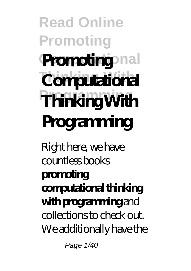# **Read Online Promoting** Promoting nal **Thinking With Computational**  $T$ **hinking With Programming**

Right here, we have countless books **promoting computational thinking with programming** and collections to check out. We additionally have the

Page 1/40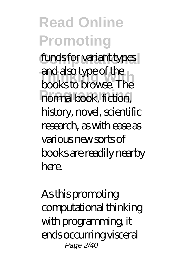funds for variant types **Thinking With** books to browse. The **Programming** normal book, fiction, and also type of the history, novel, scientific research, as with ease as various new sorts of books are readily nearby here.

As this promoting computational thinking with programming, it ends occurring visceral Page 2/40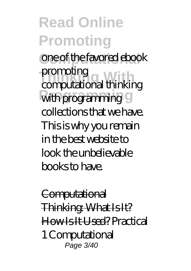**Read Online Promoting Computational** one of the favored ebook **Thinking With** computational thinking with programming 9 promoting collections that we have. This is why you remain in the best website to look the unbelievable books to have.

**Computational** Thinking: What Is It? How Is It Used? *Practical 1 Computational* Page 3/40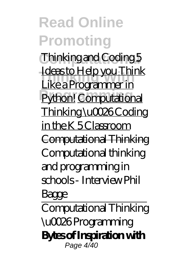**Read Online Promoting Computational** *Thinking and Coding* 5 <u>Like a Programmer in</u><br><u>Like a Programmer in</u> Python! Computational Ideas to Help you Think Thinking \u0026 Coding in the K 5 Classroom Computational Thinking Computational thinking and programming in schools - Interview Phil Bagge Computational Thinking \u0026 Programming **Bytes of Inspiration with** Page 4/40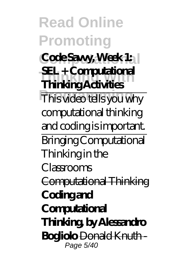**Read Online Promoting Code Savvy, Week 1: Thinking With Thinking Activities Programs SEL + Computational** computational thinking and coding is important. Bringing Computational Thinking in the Classrooms Computational Thinking **Coding and Computational Thinking, by Alessandro Bogliolo** Donald Knuth - Page 5/40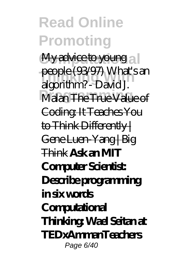**Read Online Promoting** My advice to young a <del>people (55937)</del> with state<br>algorithm? - David J. **Malan The True Value of** people (93/97) What's an Coding: It Teaches You to Think Differently | Gene Luen-Yang | Big Think **Ask an MIT Computer Scientist: Describe programming in six words Computational Thinking: Wael Seitan at TEDxAmmanTeachers** Page 6/40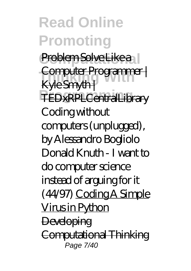**Read Online Promoting** Problem Solve Like a **Computer Programmer |**<br>Kylo Smuth | TEDxRPLCentralLibrary Kyle Smyth | *Coding without computers (unplugged), by Alessandro Bogliolo Donald Knuth - I want to do computer science instead of arguing for it (44/97)* Coding A Simple Virus in Python **Developing** Computational Thinking Page 7/40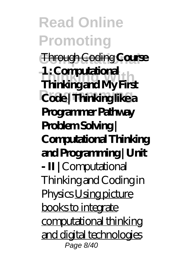**Read Online Promoting Through Coding Course Thinking With Thinking and My First Programming Code | Thinking like a 1 : Computational Programmer Pathway Problem Solving | Computational Thinking and Programming | Unit - II |** *Computational Thinking and Coding in Physics* Using picture books to integrate computational thinking and digital technologies Page 8/40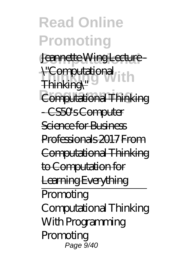**Read Online Promoting** Jeannette Wing Lecture -<del>\"Computational</del><br>Thinking\" **Computational Thinking** Thinking\" - CS50s Computer Science for Business Professionals 2017 From Computational Thinking to Computation for Learning Everything **Promoting** Computational Thinking With Programming Promoting Page 9/40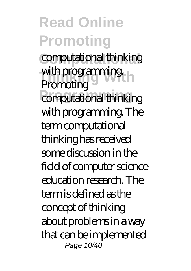**Computational** computational thinking with programming.<br>Promoting computational thinking **Promoting** with programming. The term computational thinking has received some discussion in the field of computer science education research. The term is defined as the concept of thinking about problems in a way that can be implemented Page 10/40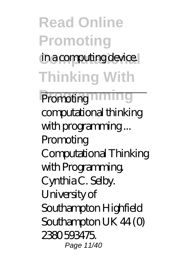### **Read Online Promoting** in a computing device. **Thinking With**

Promoting<sup>11111</sup>1119 computational thinking with programming ... Promoting Computational Thinking with Programming. Cynthia C. Selby. University of Southampton Highfield Southampton UK 44 (0) 2380 593475. Page 11/40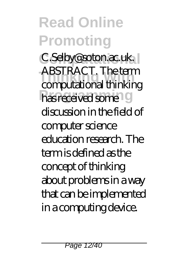C.Selby@soton.ac.uk. **Thinking With** computational thinking has received some<sup>10</sup> ABSTRACT. The term discussion in the field of computer science education research. The term is defined as the concept of thinking about problems in a way that can be implemented in a computing device.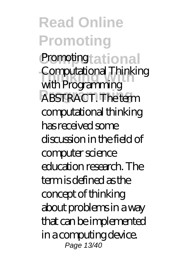**Read Online Promoting** Promotingtational **Thinking With** Computational Thinking **ABSTRACT.** The term with Programming computational thinking has received some discussion in the field of computer science education research. The term is defined as the concept of thinking about problems in a way that can be implemented in a computing device. Page 13/40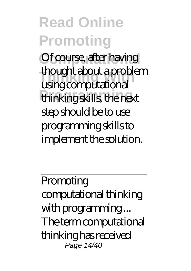Of course, after having **Thinking With** using computational **Programming** thinking skills, the next thought about a problem step should be to use programming skills to implement the solution.

Promoting computational thinking with programming ... The term computational thinking has received Page 14/40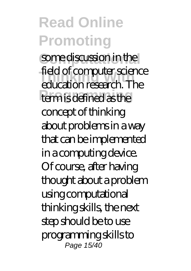#### **Read Online Promoting** some discussion in the **Thinking With** education research. The term is defined as the field of computer science concept of thinking about problems in a way that can be implemented in a computing device. Of course, after having thought about a problem using computational thinking skills, the next step should be to use programming skills to Page 15/40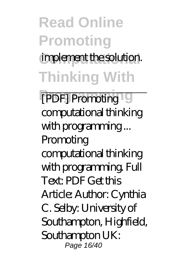### **Read Online Promoting** implement the solution. **Thinking With**

**[PDF] Promoting** computational thinking with programming ... Promoting computational thinking with programming. Full Text: PDF Get this Article: Author: Cynthia C. Selby: University of Southampton, Highfield, Southampton UK: Page 16/40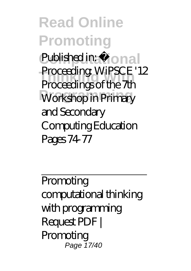**Read Online Promoting** Published in:  $t$  ional **Thinking With** Proceedings of the 7th Workshop in Primary Proceeding: WiPSCE '12 and Secondary Computing Education Pages 74-77

Promoting computational thinking with programming Request PDF | Promoting Page 17/40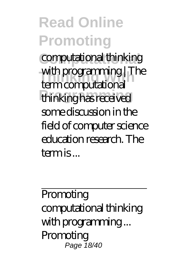**Computational** computational thinking **Thinking With** term computational **Programming** thinking has received with programming | The some discussion in the field of computer science education research. The term is ...

Promoting computational thinking with programming ... Promoting Page 18/40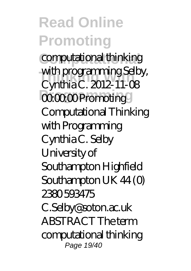**Computational** computational thinking **Thinking With** Cynthia C. 2012-11-08  $00000$  Promoting with programming Selby, Computational Thinking with Programming Cynthia C. Selby University of Southampton Highfield Southampton UK 44 (0) 2380 593475 C.Selby@soton.ac.uk ABSTRACT The term computational thinking

Page 19/40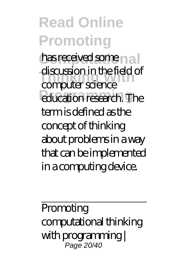has received some n a discussion in the field<br>
computer science *<u>Producation</u>* research. The discussion in the field of term is defined as the concept of thinking about problems in a way that can be implemented in a computing device.

Promoting computational thinking with programming | Page 20/40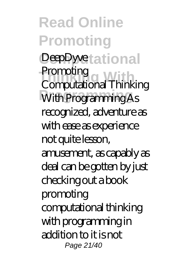**Read Online Promoting** DeepDyvetational **Thinking With** Computational Thinking **Programming** With Programming As **Promoting** recognized, adventure as with ease as experience not quite lesson, amusement, as capably as deal can be gotten by just checking out a book promoting computational thinking with programming in addition to it is not Page 21/40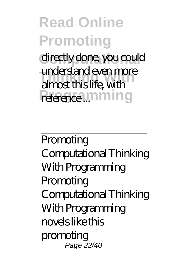directly done, you could **Thinking With** almost this life, with reference ... mining understand even more

Promoting Computational Thinking With Programming Promoting Computational Thinking With Programming novels like this promoting Page 22/40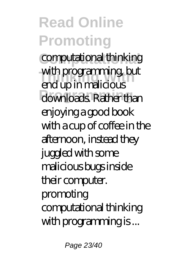**Computational** computational thinking **Thinking With** end up in malicious downloads. Rather than with programming, but enjoying a good book with a cup of coffee in the afternoon, instead they juggled with some malicious bugs inside their computer. promoting computational thinking with programming is ...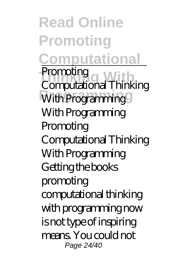**Read Online Promoting Computational** Promoung<br>Computational Thinking **Programming** With Programming **Promoting** With Programming Promoting Computational Thinking With Programming Getting the books promoting computational thinking with programming now is not type of inspiring means. You could not Page 24/40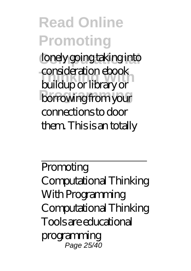lonely going taking into **Thinking With** buildup or library or **borrowing** from your consideration ebook connections to door them. This is an totally

Promoting Computational Thinking With Programming Computational Thinking Tools are educational programming Page 25/40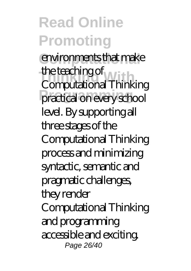environments that make **Thinking With** Computational Thinking practical on every school the teaching of level. By supporting all three stages of the Computational Thinking process and minimizing syntactic, semantic and pragmatic challenges, they render Computational Thinking and programming

accessible and exciting. Page 26/40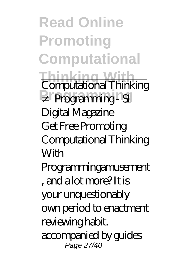**Read Online Promoting Computational Thinking With Programming** ≠ Programming - SI Computational Thinking Digital Magazine Get Free Promoting Computational Thinking **With** Programmingamusement , and a lot more? It is your unquestionably own period to enactment reviewing habit. accompanied by guides Page 27/40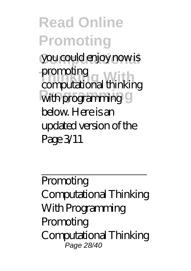**Read Online Promoting** you could enjoy now is **Thinking With** computational thinking with programming 9 promoting below. Here is an updated version of the Page 3/11

Promoting Computational Thinking With Programming Promoting Computational Thinking Page 28/40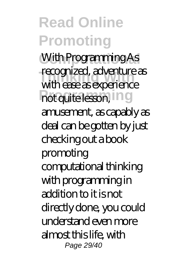With Programming As **Tecognized, adventure**<br>with ease as experience not quite lesson, in g recognized, adventure as

amusement, as capably as deal can be gotten by just checking out a book promoting computational thinking with programming in addition to it is not directly done, you could understand even more almost this life, with

Page 29/40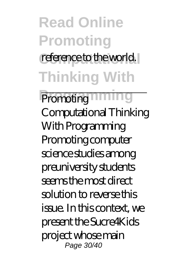### **Read Online Promoting** reference to the world. **Thinking With**

Promoting<sup>11111</sup>1119 Computational Thinking With Programming Promoting computer science studies among preuniversity students seems the most direct solution to reverse this issue. In this context, we present the Sucre4Kids project whose main Page 30/40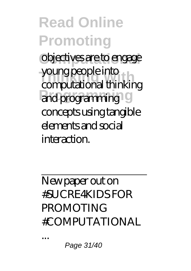**Read Online Promoting** objectives are to engage young people into<br>computational thinking **Programming** and programming young people into concepts using tangible elements and social interaction.

New paper out on #SUCRE4KIDS FOR PROMOTING #COMPUTATIONAL

...

Page 31/40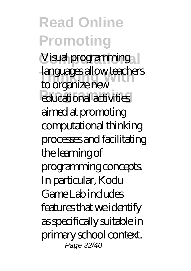Visual programming **Thinking Without Science And Without Concrete**<br> **The original With DOW** educational activities to organize new aimed at promoting computational thinking processes and facilitating the learning of programming concepts. In particular, Kodu Game Lab includes features that we identify as specifically suitable in primary school context. Page 32/40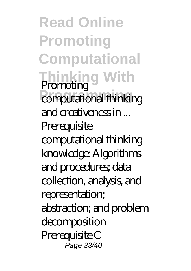**Read Online Promoting Computational Thinking With Programming Promoting** and creativeness in ... **Prerequisite** computational thinking knowledge: Algorithms and procedures; data collection, analysis, and representation; abstraction; and problem decomposition Prerequisite C Page 33/40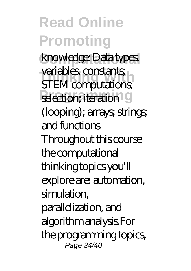**Read Online Promoting** knowledge: Data types, variables constants;<br>**STEM** computations; selection; iteration<sup>19</sup> variables, constants; (looping); arrays; strings; and functions Throughout this course the computational thinking topics you'll explore are: automation, simulation, parallelization, and algorithm analysis.For

the programming topics, Page 34/40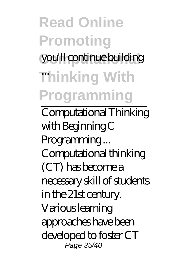### **Read Online Promoting** you'll continue building **Thinking With** ... **Programming**

Computational Thinking with Beginning C Programming ... Computational thinking (CT) has become a necessary skill of students in the 21st century. Various learning approaches have been developed to foster CT Page 35/40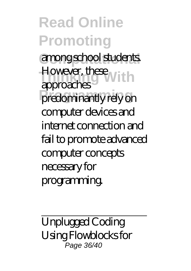**Read Online Promoting Computational** among school students. **However, these Prodominantly rely on** approaches computer devices and internet connection and fail to promote advanced computer concepts necessary for programming.

Unplugged Coding Using Flowblocks for ,<br>Page 36/40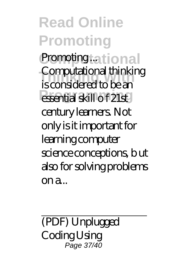**Read Online Promoting** Promoting tational **Thinking With** is considered to be an **Programming** essential skill o f 21st Computational thinking century learners. Not only is it important for learning computer science conceptions, b ut also for solving problems on a...

(PDF) Unplugged **Coding Using** Page 37/40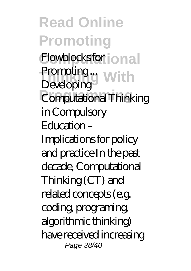**Read Online Promoting** Flowblocks for onal **Thinking With** Promoting ... Computational Thinking Developing in Compulsory Education – Implications for policy and practice In the past decade, Computational Thinking (CT) and related concepts (e.g. coding, programing, algorithmic thinking) have received increasing Page 38/40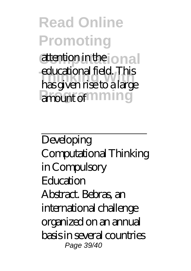### **Read Online Promoting** attention in the onal

**Thinking With** has given rise to a large amount of **ming** educational field. This

Developing Computational Thinking in Compulsory **Education** Abstract. Bebras, an international challenge organized on an annual basis in several countries Page 39/40